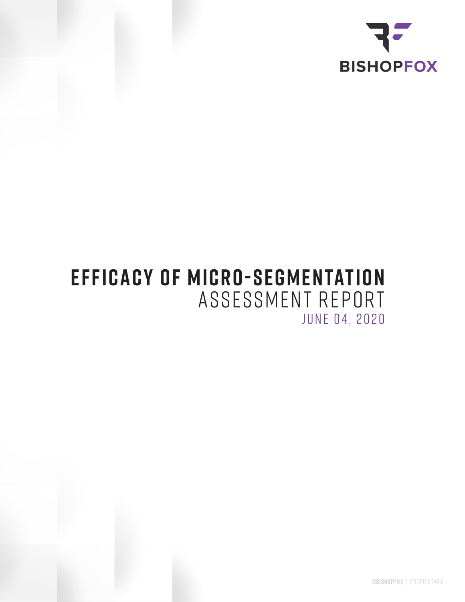

# **EFFICACY OF MICRO-SEGMENTATION** ASSESSMENT REPORT JUNE 04, 2020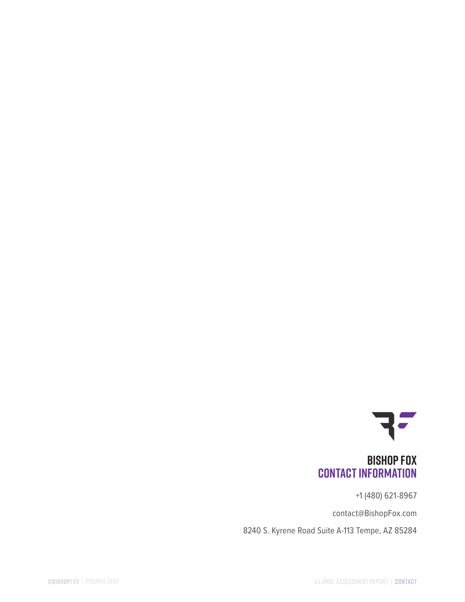

### **Bishop Fox Contact Information**

+1 (480) 621-8967

contact@BishopFox.com

8240 S. Kyrene Road Suite A-113 Tempe, AZ 85284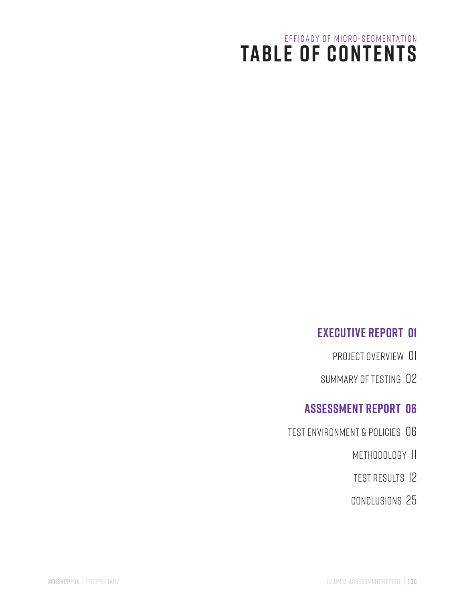# **TABLE OF CONTENTS** EFFICACY OF MICRO-SEGMENTATION

### **EXECUTIVE REPORT 01**

- Project Overview 01
- Summary of Testing02

### **Assessment Report 06**

- Test Environment & Policies06
	- Methodology11
	- Test Results12
	- Conclusions25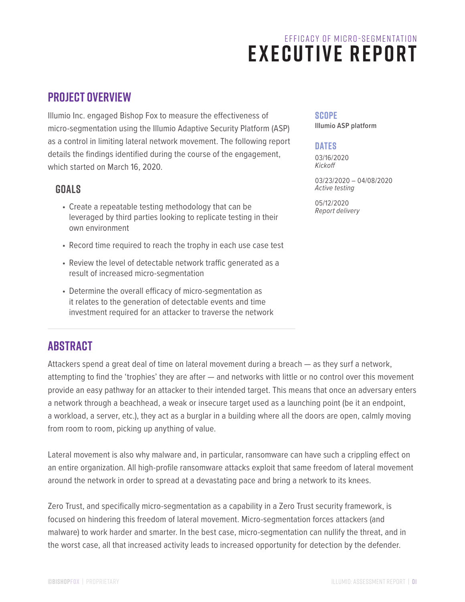### **Project Overview**

Illumio Inc. engaged Bishop Fox to measure the effectiveness of micro-segmentation using the Illumio Adaptive Security Platform (ASP) as a control in limiting lateral network movement. The following report details the findings identified during the course of the engagement, which started on March 16, 2020.

### **GOALS**

- Create a repeatable testing methodology that can be leveraged by third parties looking to replicate testing in their own environment
- Record time required to reach the trophy in each use case test
- Review the level of detectable network traffic generated as a result of increased micro-segmentation
- Determine the overall efficacy of micro-segmentation as it relates to the generation of detectable events and time investment required for an attacker to traverse the network

### **abstract**

Attackers spend a great deal of time on lateral movement during a breach — as they surf a network, attempting to find the 'trophies' they are after — and networks with little or no control over this movement provide an easy pathway for an attacker to their intended target. This means that once an adversary enters a network through a beachhead, a weak or insecure target used as a launching point (be it an endpoint, a workload, a server, etc.), they act as a burglar in a building where all the doors are open, calmly moving from room to room, picking up anything of value.

Lateral movement is also why malware and, in particular, ransomware can have such a crippling effect on an entire organization. All high-profile ransomware attacks exploit that same freedom of lateral movement around the network in order to spread at a devastating pace and bring a network to its knees.

Zero Trust, and specifically micro-segmentation as a capability in a Zero Trust security framework, is focused on hindering this freedom of lateral movement. Micro-segmentation forces attackers (and malware) to work harder and smarter. In the best case, micro-segmentation can nullify the threat, and in the worst case, all that increased activity leads to increased opportunity for detection by the defender.

### **SCOPE**

**Illumio ASP platform**

#### **DATES**

03/16/2020 *Kickoff*

03/23/2020 – 04/08/2020 *Active testing*

05/12/2020<br>Report delivery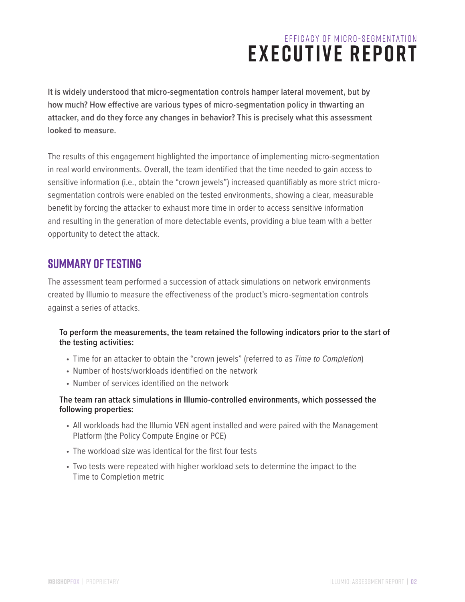**It is widely understood that micro-segmentation controls hamper lateral movement, but by how much? How effective are various types of micro-segmentation policy in thwarting an attacker, and do they force any changes in behavior? This is precisely what this assessment looked to measure.**

The results of this engagement highlighted the importance of implementing micro-segmentation in real world environments. Overall, the team identified that the time needed to gain access to sensitive information (i.e., obtain the "crown jewels") increased quantifiably as more strict microsegmentation controls were enabled on the tested environments, showing a clear, measurable benefit by forcing the attacker to exhaust more time in order to access sensitive information and resulting in the generation of more detectable events, providing a blue team with a better opportunity to detect the attack.

### **Summary of Testing**

The assessment team performed a succession of attack simulations on network environments created by Illumio to measure the effectiveness of the product's micro-segmentation controls against a series of attacks.

#### **To perform the measurements, the team retained the following indicators prior to the start of the testing activities:**

- Time for an attacker to obtain the "crown jewels" (referred to as *Time to Completion*)
- Number of hosts/workloads identified on the network
- Number of services identified on the network

#### **The team ran attack simulations in Illumio-controlled environments, which possessed the following properties:**

- All workloads had the Illumio VEN agent installed and were paired with the Management Platform (the Policy Compute Engine or PCE)
- The workload size was identical for the first four tests
- Two tests were repeated with higher workload sets to determine the impact to the Time to Completion metric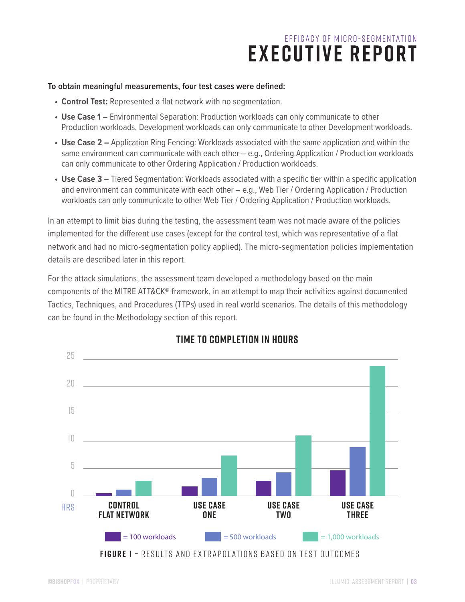#### **To obtain meaningful measurements, four test cases were defined:**

- **• Control Test:** Represented a flat network with no segmentation.
- **• Use Case 1** Environmental Separation: Production workloads can only communicate to other Production workloads, Development workloads can only communicate to other Development workloads.
- **• Use Case 2 –** Application Ring Fencing: Workloads associated with the same application and within the same environment can communicate with each other - e.g., Ordering Application / Production workloads can only communicate to other Ordering Application / Production workloads.
- **Use Case 3** Tiered Segmentation: Workloads associated with a specific tier within a specific application and environment can communicate with each other – e.g., Web Tier / Ordering Application / Production workloads can only communicate to other Web Tier / Ordering Application / Production workloads.

In an attempt to limit bias during the testing, the assessment team was not made aware of the policies implemented for the different use cases (except for the control test, which was representative of a flat network and had no micro-segmentation policy applied). The micro-segmentation policies implementation details are described later in this report.

For the attack simulations, the assessment team developed a methodology based on the main components of the MITRE ATT&CK® framework, in an attempt to map their activities against documented Tactics, Techniques, and Procedures (TTPs) used in real world scenarios. The details of this methodology can be found in the Methodology section of this report.



### **TIME TO COMPLETION IN HOURS**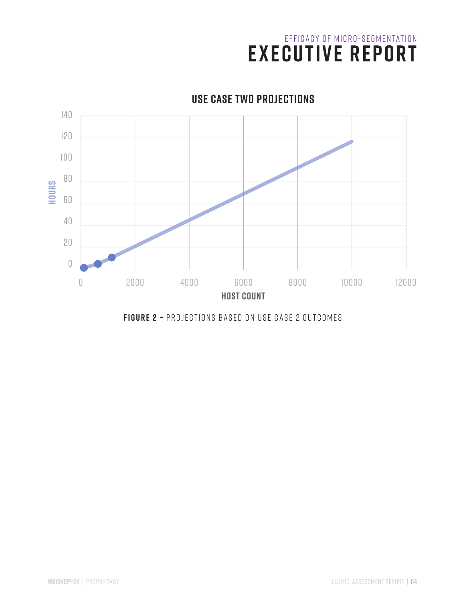

### **USE CASE TWO PROJECTIONS**

**FIGURE 2 –** Projections based on use case 2 outcomes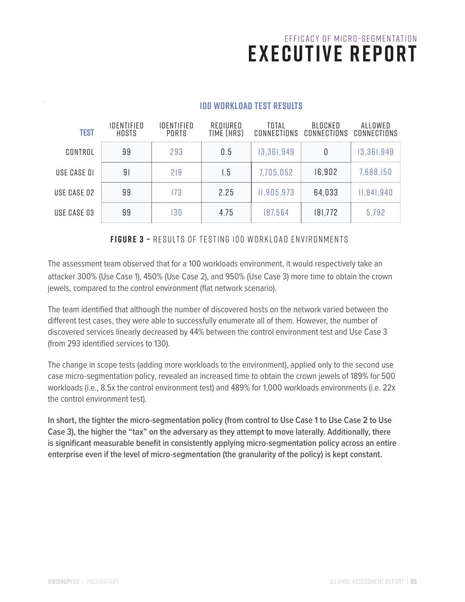| <b>TEST</b> | IDENTIFIED<br>HOSTS | IDENTIFIED<br><b>PORTS</b> | REQIURED<br>TIME (HRS) | TOTAL<br>CONNECTIONS | BLOCKED<br>CONNECTIONS | ALLOWED<br>CONNECTIONS |
|-------------|---------------------|----------------------------|------------------------|----------------------|------------------------|------------------------|
| CONTROL     | 99                  | 293                        | 0.5                    | 13,361,949           | 0                      | 13,361,949             |
| USE CASE OI | 91                  | 219                        | l.5                    | 7,705,052            | 16,902                 | 7,688,150              |
| USE CASE 02 | 99                  | 173                        | 2.25                   | 11,905,973           | 64,033                 | 11,841,940             |
| USE CASE 03 | 99                  | 130                        | 4.75                   | 187,564              | 181,772                | 5,792                  |

#### **100 WORKLOAD TEST RESULTS**

**FIGURE 3 –** Results of testing 100 Workload environments

The assessment team observed that for a 100 workloads environment, it would respectively take an attacker 300% (Use Case 1), 450% (Use Case 2), and 950% (Use Case 3) more time to obtain the crown jewels, compared to the control environment (flat network scenario).

The team identified that although the number of discovered hosts on the network varied between the different test cases, they were able to successfully enumerate all of them. However, the number of discovered services linearly decreased by 44% between the control environment test and Use Case 3 (from 293 identified services to 130).

The change in scope tests (adding more workloads to the environment), applied only to the second use case micro-segmentation policy, revealed an increased time to obtain the crown jewels of 189% for 500 workloads (i.e., 8.5x the control environment test) and 489% for 1,000 workloads environments (i.e. 22x the control environment test).

**In short, the tighter the micro-segmentation policy (from control to Use Case 1 to Use Case 2 to Use Case 3), the higher the "tax" on the adversary as they attempt to move laterally. Additionally, there is significant measurable benefit in consistently applying micro-segmentation policy across an entire enterprise even if the level of micro-segmentation (the granularity of the policy) is kept constant.**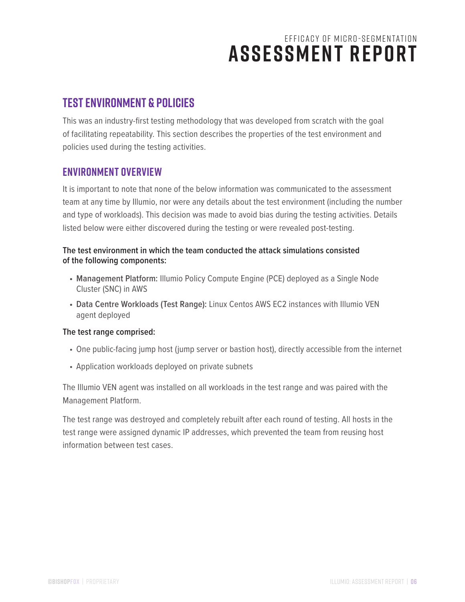### **Test Environment & Policies**

This was an industry-first testing methodology that was developed from scratch with the goal of facilitating repeatability. This section describes the properties of the test environment and policies used during the testing activities.

### **Environment Overview**

It is important to note that none of the below information was communicated to the assessment team at any time by Illumio, nor were any details about the test environment (including the number and type of workloads). This decision was made to avoid bias during the testing activities. Details listed below were either discovered during the testing or were revealed post-testing.

#### **The test environment in which the team conducted the attack simulations consisted of the following components:**

- **• Management Platform:** Illumio Policy Compute Engine (PCE) deployed as a Single Node Cluster (SNC) in AWS
- **• Data Centre Workloads (Test Range):** Linux Centos AWS EC2 instances with Illumio VEN agent deployed

#### **The test range comprised:**

- One public-facing jump host (jump server or bastion host), directly accessible from the internet
- Application workloads deployed on private subnets

The Illumio VEN agent was installed on all workloads in the test range and was paired with the Management Platform.

The test range was destroyed and completely rebuilt after each round of testing. All hosts in the test range were assigned dynamic IP addresses, which prevented the team from reusing host information between test cases.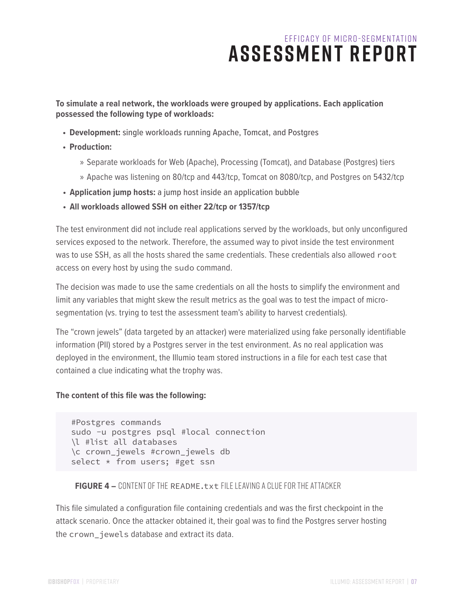#### **To simulate a real network, the workloads were grouped by applications. Each application possessed the following type of workloads:**

- **• Development:** single workloads running Apache, Tomcat, and Postgres
- **• Production:**
	- » Separate workloads for Web (Apache), Processing (Tomcat), and Database (Postgres) tiers
	- » Apache was listening on 80/tcp and 443/tcp, Tomcat on 8080/tcp, and Postgres on 5432/tcp
- **• Application jump hosts:** a jump host inside an application bubble
- **• All workloads allowed SSH on either 22/tcp or 1357/tcp**

The test environment did not include real applications served by the workloads, but only unconfigured services exposed to the network. Therefore, the assumed way to pivot inside the test environment was to use SSH, as all the hosts shared the same credentials. These credentials also allowed root access on every host by using the sudo command.

The decision was made to use the same credentials on all the hosts to simplify the environment and limit any variables that might skew the result metrics as the goal was to test the impact of microsegmentation (vs. trying to test the assessment team's ability to harvest credentials).

The "crown jewels" (data targeted by an attacker) were materialized using fake personally identifiable information (PII) stored by a Postgres server in the test environment. As no real application was deployed in the environment, the Illumio team stored instructions in a file for each test case that contained a clue indicating what the trophy was.

#### **The content of this file was the following:**

```
#Postgres commands
sudo -u postgres psql #local connection
\l #list all databases
\c crown_jewels #crown_jewels db
select * from users; #get ssn
```
#### **FIGURE 4 –** Content of the README.txt file leaving a clue for the attacker

This file simulated a configuration file containing credentials and was the first checkpoint in the attack scenario. Once the attacker obtained it, their goal was to find the Postgres server hosting the crown\_jewels database and extract its data.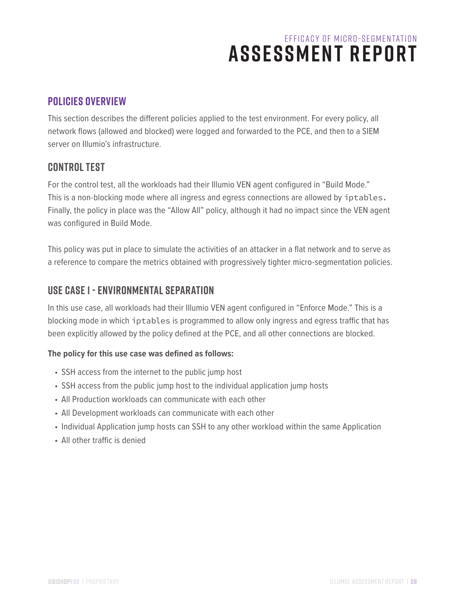### **Policies Overview**

This section describes the different policies applied to the test environment. For every policy, all network flows (allowed and blocked) were logged and forwarded to the PCE, and then to a SIEM server on Illumio's infrastructure.

### **CONTROL TEST**

For the control test, all the workloads had their Illumio VEN agent configured in "Build Mode." This is a non-blocking mode where all ingress and egress connections are allowed by iptables. Finally, the policy in place was the "Allow All" policy, although it had no impact since the VEN agent was configured in Build Mode.

This policy was put in place to simulate the activities of an attacker in a flat network and to serve as a reference to compare the metrics obtained with progressively tighter micro-segmentation policies.

### **USE CASE 1 - ENVIRONMENTAL SEPARATION**

In this use case, all workloads had their Illumio VEN agent configured in "Enforce Mode." This is a blocking mode in which iptables is programmed to allow only ingress and egress traffic that has been explicitly allowed by the policy defined at the PCE, and all other connections are blocked.

#### **The policy for this use case was defined as follows:**

- SSH access from the internet to the public jump host
- SSH access from the public jump host to the individual application jump hosts
- All Production workloads can communicate with each other
- All Development workloads can communicate with each other
- Individual Application jump hosts can SSH to any other workload within the same Application
- All other traffic is denied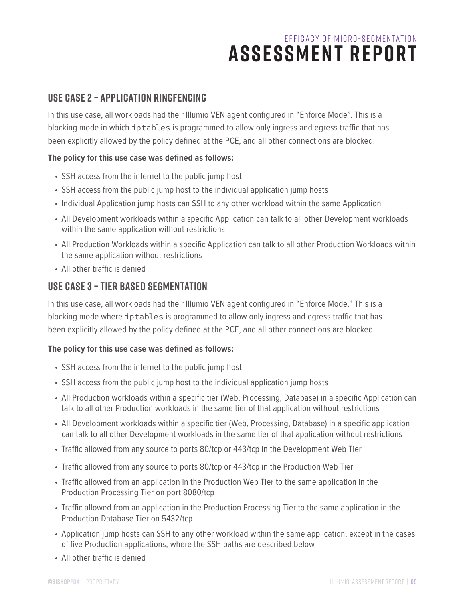### **USE CASE 2 – APPLICATION RINGFENCING**

In this use case, all workloads had their Illumio VEN agent configured in "Enforce Mode". This is a blocking mode in which iptables is programmed to allow only ingress and egress traffic that has been explicitly allowed by the policy defined at the PCE, and all other connections are blocked.

#### **The policy for this use case was defined as follows:**

- SSH access from the internet to the public jump host
- SSH access from the public jump host to the individual application jump hosts
- Individual Application jump hosts can SSH to any other workload within the same Application
- All Development workloads within a specific Application can talk to all other Development workloads within the same application without restrictions
- All Production Workloads within a specific Application can talk to all other Production Workloads within the same application without restrictions
- All other traffic is denied

### **USE CASE 3 – TIER BASED SEGMENTATION**

In this use case, all workloads had their Illumio VEN agent configured in "Enforce Mode." This is a blocking mode where iptables is programmed to allow only ingress and egress traffic that has been explicitly allowed by the policy defined at the PCE, and all other connections are blocked.

#### **The policy for this use case was defined as follows:**

- SSH access from the internet to the public jump host
- SSH access from the public jump host to the individual application jump hosts
- All Production workloads within a specific tier (Web, Processing, Database) in a specific Application can talk to all other Production workloads in the same tier of that application without restrictions
- All Development workloads within a specific tier (Web, Processing, Database) in a specific application can talk to all other Development workloads in the same tier of that application without restrictions
- Traffic allowed from any source to ports 80/tcp or 443/tcp in the Development Web Tier
- Traffic allowed from any source to ports 80/tcp or 443/tcp in the Production Web Tier
- Traffic allowed from an application in the Production Web Tier to the same application in the Production Processing Tier on port 8080/tcp
- Traffic allowed from an application in the Production Processing Tier to the same application in the Production Database Tier on 5432/tcp
- Application jump hosts can SSH to any other workload within the same application, except in the cases of five Production applications, where the SSH paths are described below
- All other traffic is denied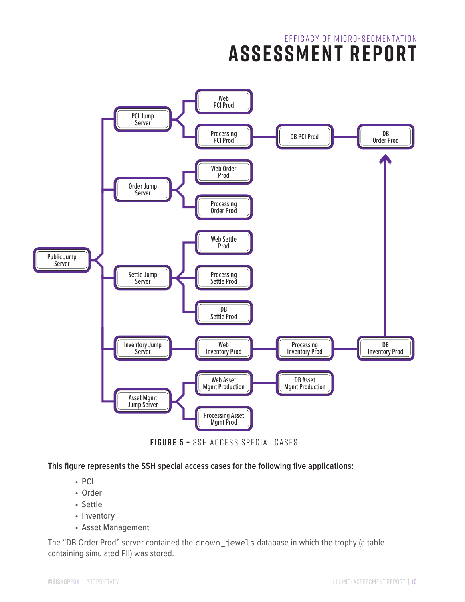

**FIGURE 5 –** SSH Access special cases

**This figure represents the SSH special access cases for the following five applications:**

- PCI
- Order
- Settle
- Inventory
- Asset Management

The "DB Order Prod" server contained the crown\_jewels database in which the trophy (a table containing simulated PII) was stored.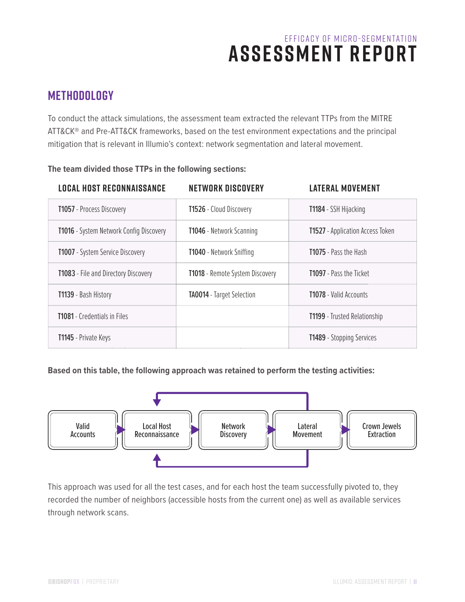### **Methodology**

To conduct the attack simulations, the assessment team extracted the relevant TTPs from the MITRE ATT&CK® and Pre-ATT&CK frameworks, based on the test environment expectations and the principal mitigation that is relevant in Illumio's context: network segmentation and lateral movement.

| <b>LOCAL HOST RECONNAISSANCE</b>        | <b>NETWORK DISCOVERY</b>         | <b>LATERAL MOVEMENT</b>                 |
|-----------------------------------------|----------------------------------|-----------------------------------------|
| T1057 - Process Discovery               | <b>T1526</b> - Cloud Discovery   | <b>T1184</b> - SSH Hijacking            |
| T1016 - System Network Config Discovery | <b>T1046</b> - Network Scanning  | <b>T1527</b> - Application Access Token |
| T1007 - System Service Discovery        | <b>T1040</b> - Network Sniffing  | <b>T1075</b> - Pass the Hash            |
| T1083 - File and Directory Discovery    | T1018 - Remote System Discovery  | <b>T1097</b> - Pass the Ticket          |
| <b>T1139</b> - Bash History             | <b>TA0014</b> - Target Selection | <b>T1078</b> - Valid Accounts           |
| <b>T1081</b> - Credentials in Files     |                                  | <b>T1199</b> - Trusted Relationship     |
| T1145 - Private Keys                    |                                  | <b>T1489</b> - Stopping Services        |

#### **The team divided those TTPs in the following sections:**

**Based on this table, the following approach was retained to perform the testing activities:**



This approach was used for all the test cases, and for each host the team successfully pivoted to, they recorded the number of neighbors (accessible hosts from the current one) as well as available services through network scans.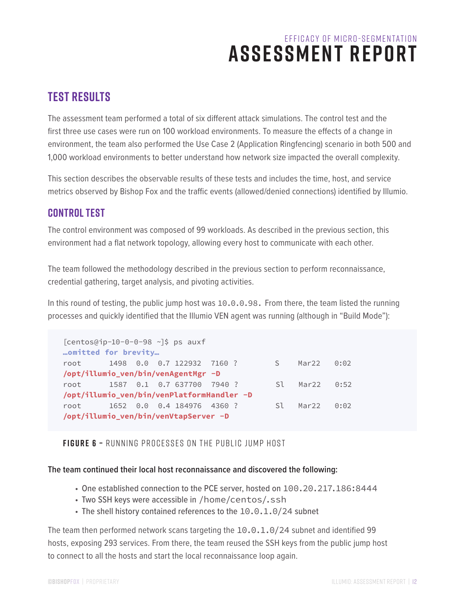### **Test Results**

The assessment team performed a total of six different attack simulations. The control test and the first three use cases were run on 100 workload environments. To measure the effects of a change in environment, the team also performed the Use Case 2 (Application Ringfencing) scenario in both 500 and 1,000 workload environments to better understand how network size impacted the overall complexity.

This section describes the observable results of these tests and includes the time, host, and service metrics observed by Bishop Fox and the traffic events (allowed/denied connections) identified by Illumio.

### **control Test**

The control environment was composed of 99 workloads. As described in the previous section, this environment had a flat network topology, allowing every host to communicate with each other.

The team followed the methodology described in the previous section to perform reconnaissance, credential gathering, target analysis, and pivoting activities.

In this round of testing, the public jump host was 10.0.0.98. From there, the team listed the running processes and quickly identified that the Illumio VEN agent was running (although in "Build Mode"):

```
[centos@ip-10-0-0-98 ~]\$ ps auxf
…omitted for brevity…
root 1498 0.0 0.7 122932 7160 ? S Mar22 0:02 
/opt/illumio_ven/bin/venAgentMgr -D
root 1587 0.1 0.7 637700 7940 ? Sl Mar22 0:52 
/opt/illumio_ven/bin/venPlatformHandler -D
root 1652 0.0 0.4 184976 4360 ? Sl Mar22 0:02 
/opt/illumio_ven/bin/venVtapServer -D
```
**FIGURE 6 –** Running processes on the public jump host

#### **The team continued their local host reconnaissance and discovered the following:**

- One established connection to the PCE server, hosted on 100.20.217.186:8444
- Two SSH keys were accessible in /home/centos/.ssh
- The shell history contained references to the 10.0.1.0/24 subnet

The team then performed network scans targeting the 10.0.1.0/24 subnet and identified 99 hosts, exposing 293 services. From there, the team reused the SSH keys from the public jump host to connect to all the hosts and start the local reconnaissance loop again.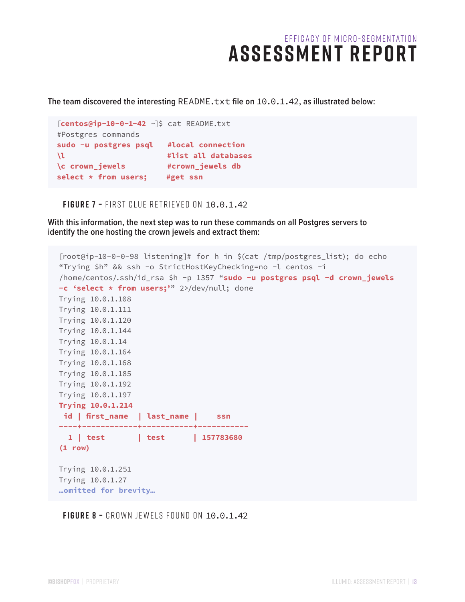**The team discovered the interesting** README.txt **file on** 10.0.1.42**, as illustrated below:**

```
[centos@ip-10-0-1-42 ~]$ cat README.txt
#Postgres commands
sudo -u postgres psql #local connection
\l #list all databases
\c crown_jewels #crown_jewels db
select * from users; #get ssn
```
**FIGURE 7 –** First clue retrieved on 10.0.1.42

**With this information, the next step was to run these commands on all Postgres servers to identify the one hosting the crown jewels and extract them:**

```
[root@ip-10-0-0-98 listening]# for h in $(cat /tmp/postgres_list); do echo 
"Trying $h" && ssh -o StrictHostKeyChecking=no -l centos -i 
/home/centos/.ssh/id_rsa $h -p 1357 "sudo -u postgres psql -d crown_jewels 
-c 'select * from users;'" 2>/dev/null; done
Trying 10.0.1.108
Trying 10.0.1.111
Trying 10.0.1.120
Trying 10.0.1.144
Trying 10.0.1.14
Trying 10.0.1.164
Trying 10.0.1.168
Trying 10.0.1.185
Trying 10.0.1.192
Trying 10.0.1.197
Trying 10.0.1.214
 id | first_name | last_name | ssn
----+------------+-----------+-----------
   1 | test | test | 157783680
(1 row)
Trying 10.0.1.251
Trying 10.0.1.27
…omitted for brevity…
```
**FIGURE 8 –** Crown jewels found on 10.0.1.42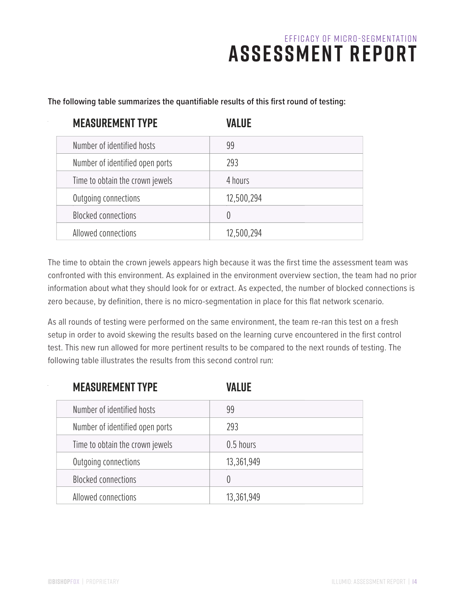| <b>MEASUREMENT TYPE</b>         | VALUE      |
|---------------------------------|------------|
| Number of identified hosts      | 99         |
| Number of identified open ports | 293        |
| Time to obtain the crown jewels | 4 hours    |
| Outgoing connections            | 12,500,294 |
| <b>Blocked connections</b>      | $\theta$   |
| Allowed connections             | 12,500,294 |

**The following table summarizes the quantifiable results of this first round of testing:**

The time to obtain the crown jewels appears high because it was the first time the assessment team was confronted with this environment. As explained in the environment overview section, the team had no prior information about what they should look for or extract. As expected, the number of blocked connections is zero because, by definition, there is no micro-segmentation in place for this flat network scenario.

As all rounds of testing were performed on the same environment, the team re-ran this test on a fresh setup in order to avoid skewing the results based on the learning curve encountered in the first control test. This new run allowed for more pertinent results to be compared to the next rounds of testing. The following table illustrates the results from this second control run:

| <b>MEASUREMENT TYPE</b>         | VALUE            |
|---------------------------------|------------------|
| Number of identified hosts      | 99               |
| Number of identified open ports | 293              |
| Time to obtain the crown jewels | 0.5 hours        |
| Outgoing connections            | 13,361,949       |
| <b>Blocked connections</b>      | $\left( \right)$ |
| Allowed connections             | 13,361,949       |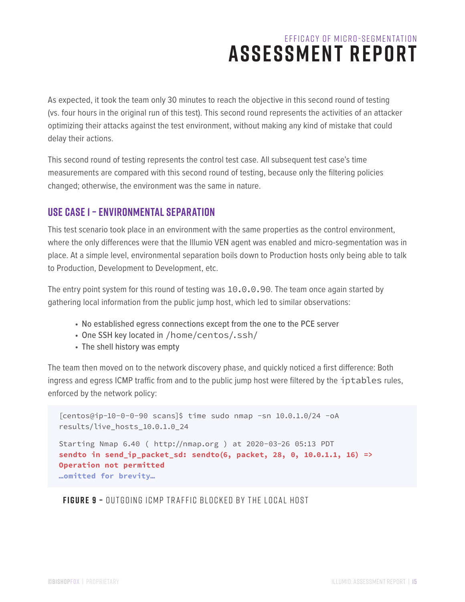As expected, it took the team only 30 minutes to reach the objective in this second round of testing (vs. four hours in the original run of this test). This second round represents the activities of an attacker optimizing their attacks against the test environment, without making any kind of mistake that could delay their actions.

This second round of testing represents the control test case. All subsequent test case's time measurements are compared with this second round of testing, because only the filtering policies changed; otherwise, the environment was the same in nature.

### **Use Case 1 – Environmental Separation**

This test scenario took place in an environment with the same properties as the control environment, where the only differences were that the Illumio VEN agent was enabled and micro-segmentation was in place. At a simple level, environmental separation boils down to Production hosts only being able to talk to Production, Development to Development, etc.

The entry point system for this round of testing was 10.0.0.90. The team once again started by gathering local information from the public jump host, which led to similar observations:

- No established egress connections except from the one to the PCE server
- One SSH key located in /home/centos/.ssh/
- The shell history was empty

The team then moved on to the network discovery phase, and quickly noticed a first difference: Both ingress and egress ICMP traffic from and to the public jump host were filtered by the iptables rules, enforced by the network policy:

[centos@ip-10-0-0-90 scans]\$ time sudo nmap -sn 10.0.1.0/24 -oA results/live\_hosts\_10.0.1.0\_24 Starting Nmap 6.40 ( http://nmap.org ) at 2020-03-26 05:13 PDT **sendto in send\_ip\_packet\_sd: sendto(6, packet, 28, 0, 10.0.1.1, 16) => Operation not permitted …omitted for brevity…**

**FIGURE 9 –** Outgoing ICMP traffic blocked by the local host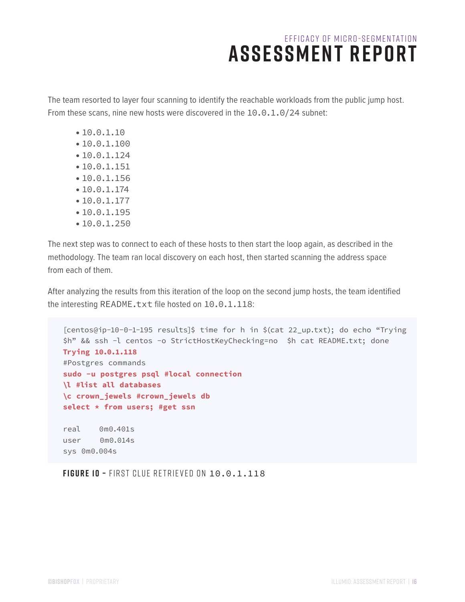The team resorted to layer four scanning to identify the reachable workloads from the public jump host. From these scans, nine new hosts were discovered in the 10.0.1.0/24 subnet:

- •10.0.1.10
- •10.0.1.100
- •10.0.1.124
- •10.0.1.151
- •10.0.1.156
- •10.0.1.174
- •10.0.1.177
- •10.0.1.195
- •10.0.1.250

The next step was to connect to each of these hosts to then start the loop again, as described in the methodology. The team ran local discovery on each host, then started scanning the address space from each of them.

After analyzing the results from this iteration of the loop on the second jump hosts, the team identified the interesting README.txt file hosted on 10.0.1.118:

```
[centos@ip-10-0-1-195 results]$ time for h in $(cat 22_up.txt); do echo "Trying 
$h" && ssh -l centos -o StrictHostKeyChecking=no $h cat README.txt; done
Trying 10.0.1.118
#Postgres commands
sudo -u postgres psql #local connection
\l #list all databases
\c crown_jewels #crown_jewels db
select * from users; #get ssn
real 0m0.401s
user 0m0.014s
sys 0m0.004s
```
**FIGURE 10 –** First clue retrieved on 10.0.1.118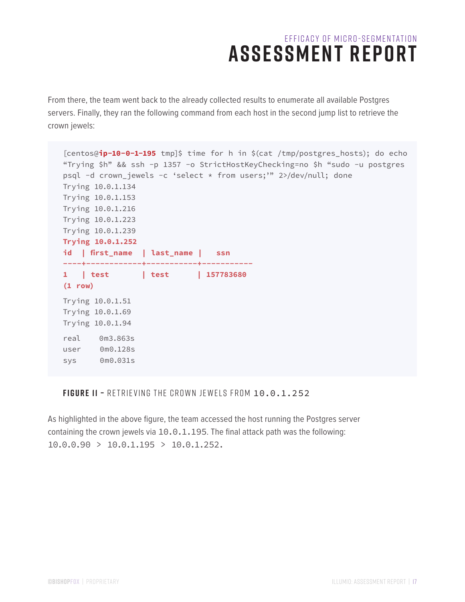From there, the team went back to the already collected results to enumerate all available Postgres servers. Finally, they ran the following command from each host in the second jump list to retrieve the crown jewels:

```
[centos@ip-10-0-1-195 tmp]$ time for h in $(cat /tmp/postgres_hosts); do echo 
"Trying $h" && ssh -p 1357 -o StrictHostKeyChecking=no $h "sudo -u postgres 
psql -d crown_jewels -c 'select * from users;'" 2>/dev/null; done
Trying 10.0.1.134
Trying 10.0.1.153
Trying 10.0.1.216
Trying 10.0.1.223
Trying 10.0.1.239
Trying 10.0.1.252
id | first_name | last_name | ssn
----+------------+-----------+-----------
1 | test | test | 157783680
(1 row)
Trying 10.0.1.51
Trying 10.0.1.69
Trying 10.0.1.94
real 0m3.863s
user 0m0.128s
sys 0m0.031s
```
#### **FIGURE 11 –** Retrieving the crown jewels from 10.0.1.252

As highlighted in the above figure, the team accessed the host running the Postgres server containing the crown jewels via 10.0.1.195. The final attack path was the following:  $10.0.0.90 > 10.0.1.195 > 10.0.1.252$ .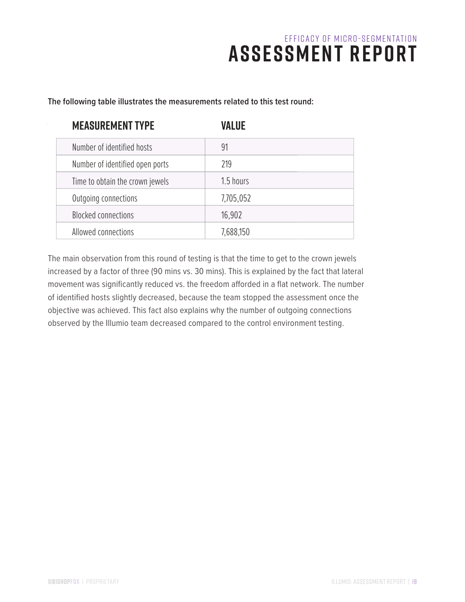| <b>MEASUREMENT TYPE</b>         | <b>VALUE</b> |
|---------------------------------|--------------|
| Number of identified hosts      | 91           |
| Number of identified open ports | 219          |
| Time to obtain the crown jewels | 1.5 hours    |
| Outgoing connections            | 7,705,052    |
| <b>Blocked connections</b>      | 16,902       |
| Allowed connections             | 7,688,150    |

**The following table illustrates the measurements related to this test round:**

The main observation from this round of testing is that the time to get to the crown jewels increased by a factor of three (90 mins vs. 30 mins). This is explained by the fact that lateral movement was significantly reduced vs. the freedom afforded in a flat network. The number of identified hosts slightly decreased, because the team stopped the assessment once the objective was achieved. This fact also explains why the number of outgoing connections observed by the Illumio team decreased compared to the control environment testing.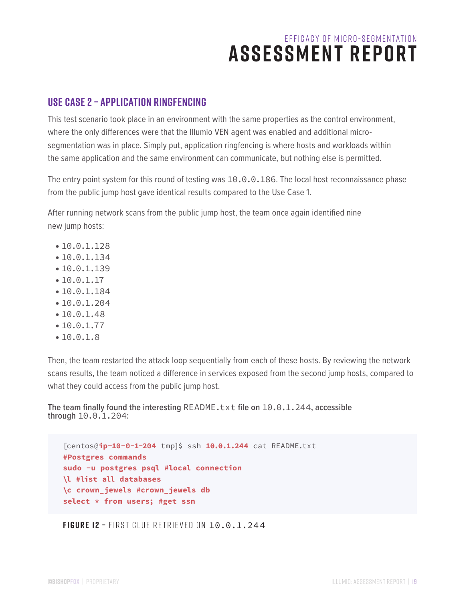### **Use Case 2 – Application Ringfencing**

This test scenario took place in an environment with the same properties as the control environment, where the only differences were that the Illumio VEN agent was enabled and additional microsegmentation was in place. Simply put, application ringfencing is where hosts and workloads within the same application and the same environment can communicate, but nothing else is permitted.

The entry point system for this round of testing was 10.0.0.186. The local host reconnaissance phase from the public jump host gave identical results compared to the Use Case 1.

After running network scans from the public jump host, the team once again identified nine new jump hosts:

- •10.0.1.128
- •10.0.1.134
- •10.0.1.139
- •10.0.1.17
- •10.0.1.184
- •10.0.1.204
- •10.0.1.48
- •10.0.1.77
- •10.0.1.8

Then, the team restarted the attack loop sequentially from each of these hosts. By reviewing the network scans results, the team noticed a difference in services exposed from the second jump hosts, compared to what they could access from the public jump host.

**The team finally found the interesting** README.txt **file on** 10.0.1.244**, accessible through** 10.0.1.204**:**

```
[centos@ip-10-0-1-204 tmp]$ ssh 10.0.1.244 cat README.txt
#Postgres commands
sudo -u postgres psql #local connection
\l #list all databases
\c crown_jewels #crown_jewels db
select * from users; #get ssn
```
**FIGURE 12 –** First clue retrieved on 10.0.1.244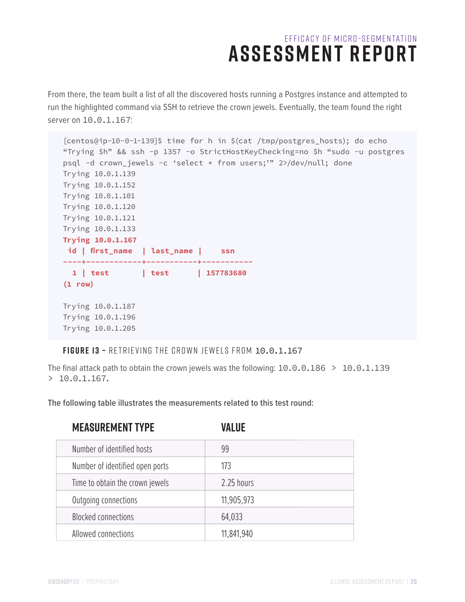From there, the team built a list of all the discovered hosts running a Postgres instance and attempted to run the highlighted command via SSH to retrieve the crown jewels. Eventually, the team found the right server on 10.0.1.167:

```
[centos@ip-10-0-1-139]$ time for h in $(cat /tmp/postgres_hosts); do echo 
"Trying $h" && ssh -p 1357 -o StrictHostKeyChecking=no $h "sudo -u postgres 
psql -d crown_jewels -c 'select * from users;'" 2>/dev/null; done
Trying 10.0.1.139
Trying 10.0.1.152
Trying 10.0.1.101
Trying 10.0.1.120
Trying 10.0.1.121
Trying 10.0.1.133
Trying 10.0.1.167
 id | first_name | last_name | ssn
----+------------+-----------+-----------
   1 | test | test | 157783680
(1 row)
Trying 10.0.1.187
Trying 10.0.1.196
Trying 10.0.1.205
```
**FIGURE 13 –** Retrieving the crown jewels from 10.0.1.167

The final attack path to obtain the crown jewels was the following:  $10.0.0.186 > 10.0.1.139$  $> 10.0.1.167.$ 

**The following table illustrates the measurements related to this test round:**

| <b>MEASUREMENT TYPE</b>         | VALUE      |
|---------------------------------|------------|
| Number of identified hosts      | 99         |
| Number of identified open ports | 173        |
| Time to obtain the crown jewels | 2.25 hours |
| Outgoing connections            | 11,905,973 |
| <b>Blocked connections</b>      | 64,033     |
| Allowed connections             | 11,841,940 |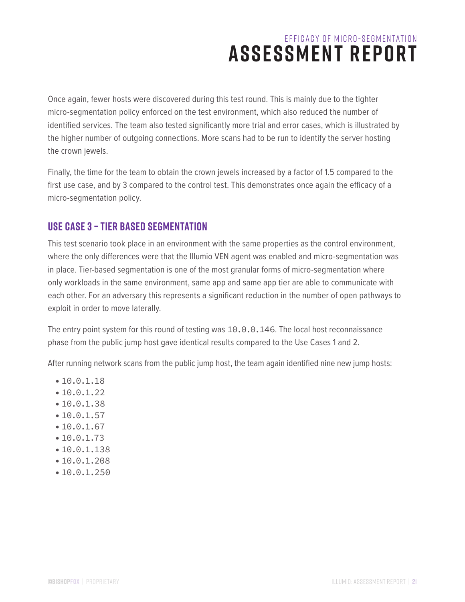Once again, fewer hosts were discovered during this test round. This is mainly due to the tighter micro-segmentation policy enforced on the test environment, which also reduced the number of identified services. The team also tested significantly more trial and error cases, which is illustrated by the higher number of outgoing connections. More scans had to be run to identify the server hosting the crown jewels.

Finally, the time for the team to obtain the crown jewels increased by a factor of 1.5 compared to the first use case, and by 3 compared to the control test. This demonstrates once again the efficacy of a micro-segmentation policy.

### **Use Case 3 – Tier Based Segmentation**

This test scenario took place in an environment with the same properties as the control environment, where the only differences were that the Illumio VEN agent was enabled and micro-segmentation was in place. Tier-based segmentation is one of the most granular forms of micro-segmentation where only workloads in the same environment, same app and same app tier are able to communicate with each other. For an adversary this represents a significant reduction in the number of open pathways to exploit in order to move laterally.

The entry point system for this round of testing was 10.0.0.146. The local host reconnaissance phase from the public jump host gave identical results compared to the Use Cases 1 and 2.

After running network scans from the public jump host, the team again identified nine new jump hosts:

- •10.0.1.18
- •10.0.1.22
- •10.0.1.38
- $•10.0.1.57$
- •10.0.1.67
- •10.0.1.73
- •10.0.1.138
- •10.0.1.208
- •10.0.1.250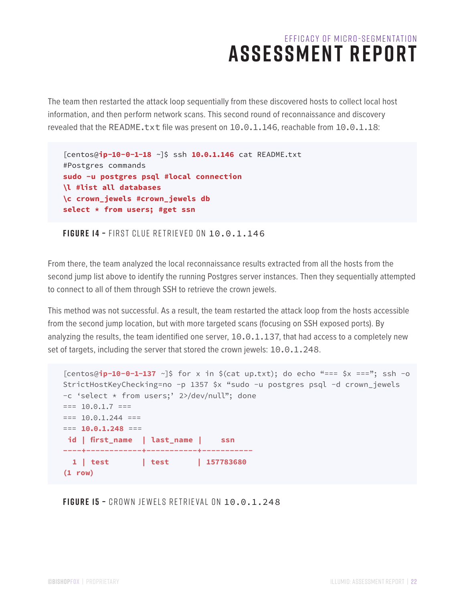The team then restarted the attack loop sequentially from these discovered hosts to collect local host information, and then perform network scans. This second round of reconnaissance and discovery revealed that the README.txt file was present on 10.0.1.146, reachable from 10.0.1.18:

[centos@**ip-10-0-1-18** ~]\$ ssh **10.0.1.146** cat README.txt #Postgres commands **sudo -u postgres psql #local connection \l #list all databases \c crown\_jewels #crown\_jewels db select \* from users; #get ssn**

**FIGURE 14 –** First clue retrieved on 10.0.1.146

From there, the team analyzed the local reconnaissance results extracted from all the hosts from the second jump list above to identify the running Postgres server instances. Then they sequentially attempted to connect to all of them through SSH to retrieve the crown jewels.

This method was not successful. As a result, the team restarted the attack loop from the hosts accessible from the second jump location, but with more targeted scans (focusing on SSH exposed ports). By analyzing the results, the team identified one server, 10.0.1.137, that had access to a completely new set of targets, including the server that stored the crown jewels: 10.0.1.248.

```
[centos@ip-10-0-1-137 ~]$ for x in $(cat up.txt); do echo "=== $x ==="; ssh -o
StrictHostKeyChecking=no -p 1357 $x "sudo -u postgres psql -d crown_jewels 
-c 'select * from users;' 2>/dev/null"; done
== 10.0.1.7 ==== 10.0.1.244 ===== 10.0.1.248 ===
 id | first_name | last_name | ssn
----+------------+-----------+-----------
  1 | test | test | 157783680
(1 row)
```
**FIGURE 15 –** Crown jewels retrieval on 10.0.1.248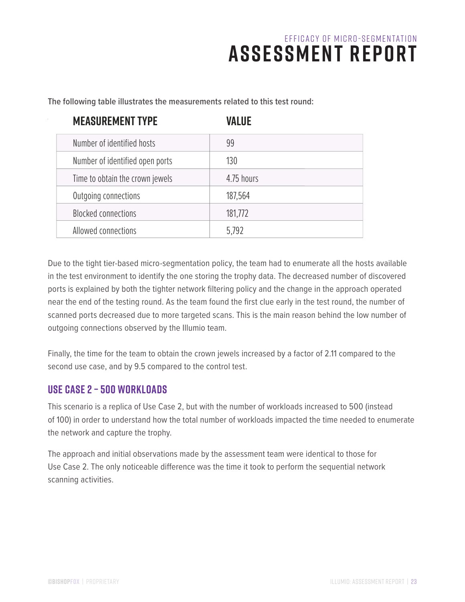| <b>MEASUREMENT TYPE</b>         | <b>VALUE</b> |
|---------------------------------|--------------|
| Number of identified hosts      | 99           |
| Number of identified open ports | 130          |
| Time to obtain the crown jewels | 4.75 hours   |
| Outgoing connections            | 187,564      |
| <b>Blocked connections</b>      | 181,772      |
| Allowed connections             | 5,792        |

**The following table illustrates the measurements related to this test round:**

Due to the tight tier-based micro-segmentation policy, the team had to enumerate all the hosts available in the test environment to identify the one storing the trophy data. The decreased number of discovered ports is explained by both the tighter network filtering policy and the change in the approach operated near the end of the testing round. As the team found the first clue early in the test round, the number of scanned ports decreased due to more targeted scans. This is the main reason behind the low number of outgoing connections observed by the Illumio team.

Finally, the time for the team to obtain the crown jewels increased by a factor of 2.11 compared to the second use case, and by 9.5 compared to the control test.

### **Use Case 2 – 500 Workloads**

This scenario is a replica of Use Case 2, but with the number of workloads increased to 500 (instead of 100) in order to understand how the total number of workloads impacted the time needed to enumerate the network and capture the trophy.

The approach and initial observations made by the assessment team were identical to those for Use Case 2. The only noticeable difference was the time it took to perform the sequential network scanning activities.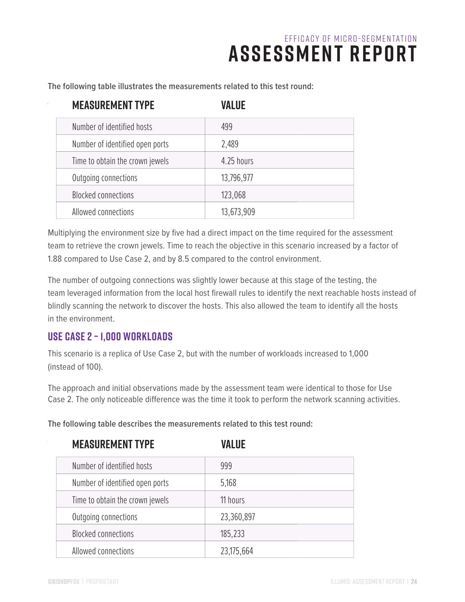**The following table illustrates the measurements related to this test round:**

| <b>MEASUREMENT TYPE</b>         | VALUE      |
|---------------------------------|------------|
| Number of identified hosts      | 499        |
| Number of identified open ports | 2,489      |
| Time to obtain the crown jewels | 4.25 hours |
| Outgoing connections            | 13,796,977 |
| <b>Blocked connections</b>      | 123,068    |
| Allowed connections             | 13,673,909 |

Multiplying the environment size by five had a direct impact on the time required for the assessment team to retrieve the crown jewels. Time to reach the objective in this scenario increased by a factor of 1.88 compared to Use Case 2, and by 8.5 compared to the control environment.

The number of outgoing connections was slightly lower because at this stage of the testing, the team leveraged information from the local host firewall rules to identify the next reachable hosts instead of blindly scanning the network to discover the hosts. This also allowed the team to identify all the hosts in the environment.

### **Use Case 2 – 1,000 Workloads**

This scenario is a replica of Use Case 2, but with the number of workloads increased to 1,000 (instead of 100).

The approach and initial observations made by the assessment team were identical to those for Use Case 2. The only noticeable difference was the time it took to perform the network scanning activities.

**The following table describes the measurements related to this test round:**

| <b>MEASUREMENT TYPE</b>         | VALUE      |
|---------------------------------|------------|
| Number of identified hosts      | 999        |
| Number of identified open ports | 5,168      |
| Time to obtain the crown jewels | 11 hours   |
| Outgoing connections            | 23,360,897 |
| <b>Blocked connections</b>      | 185,233    |
| Allowed connections             | 23,175,664 |